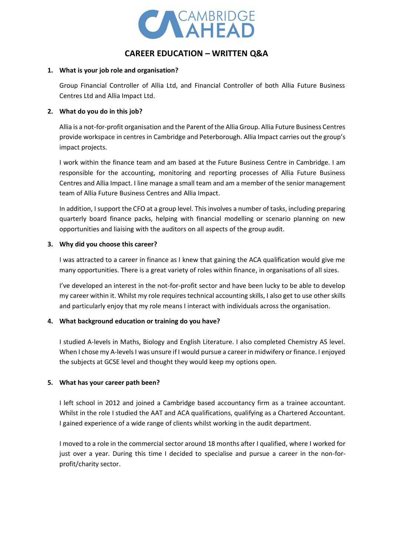

# **CAREER EDUCATION – WRITTEN Q&A**

#### **1. What is your job role and organisation?**

Group Financial Controller of Allia Ltd, and Financial Controller of both Allia Future Business Centres Ltd and Allia Impact Ltd.

## **2. What do you do in this job?**

Allia is a not-for-profit organisation and the Parent of the Allia Group. Allia Future Business Centres provide workspace in centres in Cambridge and Peterborough. Allia Impact carries out the group's impact projects.

I work within the finance team and am based at the Future Business Centre in Cambridge. I am responsible for the accounting, monitoring and reporting processes of Allia Future Business Centres and Allia Impact. I line manage a small team and am a member of the senior management team of Allia Future Business Centres and Allia Impact.

In addition, I support the CFO at a group level. This involves a number of tasks, including preparing quarterly board finance packs, helping with financial modelling or scenario planning on new opportunities and liaising with the auditors on all aspects of the group audit.

### **3. Why did you choose this career?**

I was attracted to a career in finance as I knew that gaining the ACA qualification would give me many opportunities. There is a great variety of roles within finance, in organisations of all sizes.

I've developed an interest in the not-for-profit sector and have been lucky to be able to develop my career within it. Whilst my role requires technical accounting skills, I also get to use other skills and particularly enjoy that my role means I interact with individuals across the organisation.

# **4. What background education or training do you have?**

I studied A-levels in Maths, Biology and English Literature. I also completed Chemistry AS level. When I chose my A-levels I was unsure if I would pursue a career in midwifery or finance. I enjoyed the subjects at GCSE level and thought they would keep my options open.

# **5. What has your career path been?**

I left school in 2012 and joined a Cambridge based accountancy firm as a trainee accountant. Whilst in the role I studied the AAT and ACA qualifications, qualifying as a Chartered Accountant. I gained experience of a wide range of clients whilst working in the audit department.

I moved to a role in the commercial sector around 18 months after I qualified, where I worked for just over a year. During this time I decided to specialise and pursue a career in the non-forprofit/charity sector.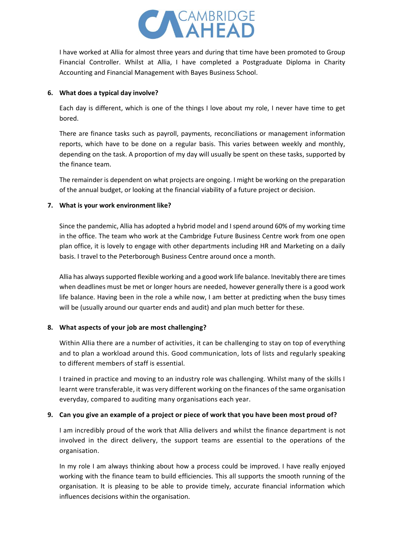

I have worked at Allia for almost three years and during that time have been promoted to Group Financial Controller. Whilst at Allia, I have completed a Postgraduate Diploma in Charity Accounting and Financial Management with Bayes Business School.

#### **6. What does a typical day involve?**

Each day is different, which is one of the things I love about my role, I never have time to get bored.

There are finance tasks such as payroll, payments, reconciliations or management information reports, which have to be done on a regular basis. This varies between weekly and monthly, depending on the task. A proportion of my day will usually be spent on these tasks, supported by the finance team.

The remainder is dependent on what projects are ongoing. I might be working on the preparation of the annual budget, or looking at the financial viability of a future project or decision.

# **7. What is your work environment like?**

Since the pandemic, Allia has adopted a hybrid model and I spend around 60% of my working time in the office. The team who work at the Cambridge Future Business Centre work from one open plan office, it is lovely to engage with other departments including HR and Marketing on a daily basis. I travel to the Peterborough Business Centre around once a month.

Allia has always supported flexible working and a good work life balance. Inevitably there are times when deadlines must be met or longer hours are needed, however generally there is a good work life balance. Having been in the role a while now, I am better at predicting when the busy times will be (usually around our quarter ends and audit) and plan much better for these.

# **8. What aspects of your job are most challenging?**

Within Allia there are a number of activities, it can be challenging to stay on top of everything and to plan a workload around this. Good communication, lots of lists and regularly speaking to different members of staff is essential.

I trained in practice and moving to an industry role was challenging. Whilst many of the skills I learnt were transferable, it was very different working on the finances of the same organisation everyday, compared to auditing many organisations each year.

# **9. Can you give an example of a project or piece of work that you have been most proud of?**

I am incredibly proud of the work that Allia delivers and whilst the finance department is not involved in the direct delivery, the support teams are essential to the operations of the organisation.

In my role I am always thinking about how a process could be improved. I have really enjoyed working with the finance team to build efficiencies. This all supports the smooth running of the organisation. It is pleasing to be able to provide timely, accurate financial information which influences decisions within the organisation.